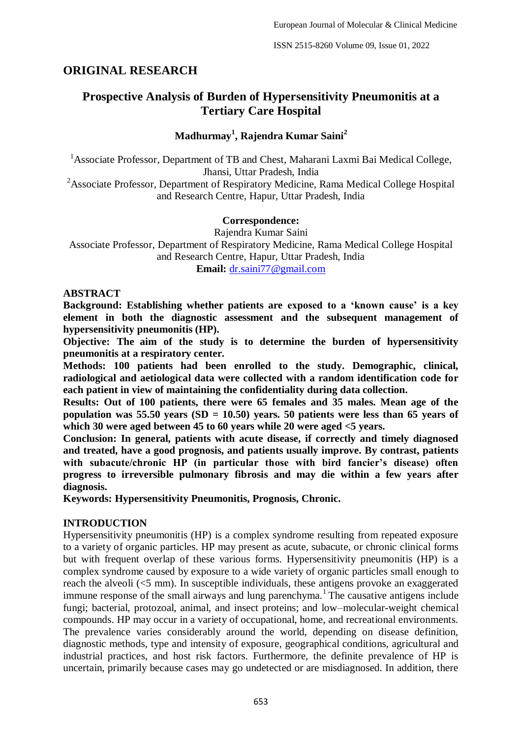## **ORIGINAL RESEARCH**

# **Prospective Analysis of Burden of Hypersensitivity Pneumonitis at a Tertiary Care Hospital**

**Madhurmay<sup>1</sup> , Rajendra Kumar Saini<sup>2</sup>**

<sup>1</sup> Associate Professor, Department of TB and Chest, Maharani Laxmi Bai Medical College, Jhansi, Uttar Pradesh, India

 $2^2$ Associate Professor, Department of Respiratory Medicine, Rama Medical College Hospital and Research Centre, Hapur, Uttar Pradesh, India

#### **Correspondence:**

Rajendra Kumar Saini Associate Professor, Department of Respiratory Medicine, Rama Medical College Hospital and Research Centre, Hapur, Uttar Pradesh, India **Email:** [dr.saini77@gmail.com](mailto:dr.saini77@gmail.com)

**ABSTRACT**

**Background: Establishing whether patients are exposed to a 'known cause' is a key element in both the diagnostic assessment and the subsequent management of hypersensitivity pneumonitis (HP).**

**Objective: The aim of the study is to determine the burden of hypersensitivity pneumonitis at a respiratory center.**

**Methods: 100 patients had been enrolled to the study. Demographic, clinical, radiological and aetiological data were collected with a random identification code for each patient in view of maintaining the confidentiality during data collection.**

**Results: Out of 100 patients, there were 65 females and 35 males. Mean age of the population was 55.50 years (SD = 10.50) years. 50 patients were less than 65 years of which 30 were aged between 45 to 60 years while 20 were aged <5 years.**

**Conclusion: In general, patients with acute disease, if correctly and timely diagnosed and treated, have a good prognosis, and patients usually improve. By contrast, patients with subacute/chronic HP (in particular those with bird fancier's disease) often progress to irreversible pulmonary fibrosis and may die within a few years after diagnosis.**

**Keywords: Hypersensitivity Pneumonitis, Prognosis, Chronic.**

### **INTRODUCTION**

Hypersensitivity pneumonitis (HP) is a complex syndrome resulting from repeated exposure to a variety of organic particles. HP may present as acute, subacute, or chronic clinical forms but with frequent overlap of these various forms. Hypersensitivity pneumonitis (HP) is a complex syndrome caused by exposure to a wide variety of organic particles small enough to reach the alveoli (<5 mm). In susceptible individuals, these antigens provoke an exaggerated immune response of the small airways and lung parenchyma.<sup>1</sup> The causative antigens include fungi; bacterial, protozoal, animal, and insect proteins; and low–molecular-weight chemical compounds. HP may occur in a variety of occupational, home, and recreational environments. The prevalence varies considerably around the world, depending on disease definition, diagnostic methods, type and intensity of exposure, geographical conditions, agricultural and industrial practices, and host risk factors. Furthermore, the definite prevalence of HP is uncertain, primarily because cases may go undetected or are misdiagnosed. In addition, there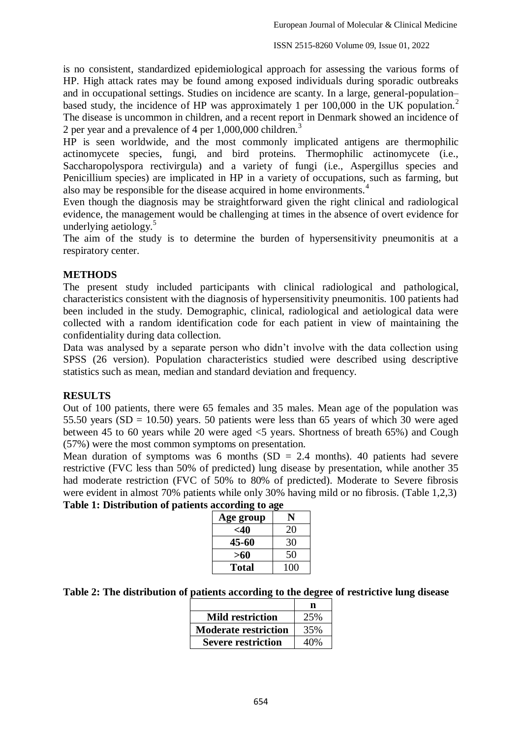is no consistent, standardized epidemiological approach for assessing the various forms of HP. High attack rates may be found among exposed individuals during sporadic outbreaks and in occupational settings. Studies on incidence are scanty. In a large, general-population– based study, the incidence of HP was approximately 1 per 100,000 in the UK population.<sup>2</sup> The disease is uncommon in children, and a recent report in Denmark showed an incidence of 2 per year and a prevalence of 4 per 1,000,000 children.<sup>3</sup>

HP is seen worldwide, and the most commonly implicated antigens are thermophilic actinomycete species, fungi, and bird proteins. Thermophilic actinomycete (i.e., Saccharopolyspora rectivirgula) and a variety of fungi (i.e., Aspergillus species and Penicillium species) are implicated in HP in a variety of occupations, such as farming, but also may be responsible for the disease acquired in home environments.<sup>4</sup>

Even though the diagnosis may be straightforward given the right clinical and radiological evidence, the management would be challenging at times in the absence of overt evidence for underlying aetiology. $5$ 

The aim of the study is to determine the burden of hypersensitivity pneumonitis at a respiratory center.

### **METHODS**

The present study included participants with clinical radiological and pathological, characteristics consistent with the diagnosis of hypersensitivity pneumonitis. 100 patients had been included in the study. Demographic, clinical, radiological and aetiological data were collected with a random identification code for each patient in view of maintaining the confidentiality during data collection.

Data was analysed by a separate person who didn't involve with the data collection using SPSS (26 version). Population characteristics studied were described using descriptive statistics such as mean, median and standard deviation and frequency.

### **RESULTS**

Out of 100 patients, there were 65 females and 35 males. Mean age of the population was 55.50 years ( $SD = 10.50$ ) years. 50 patients were less than 65 years of which 30 were aged between 45 to 60 years while 20 were aged <5 years. Shortness of breath 65%) and Cough (57%) were the most common symptoms on presentation.

Mean duration of symptoms was 6 months  $(SD = 2.4$  months). 40 patients had severe restrictive (FVC less than 50% of predicted) lung disease by presentation, while another 35 had moderate restriction (FVC of 50% to 80% of predicted). Moderate to Severe fibrosis were evident in almost 70% patients while only 30% having mild or no fibrosis. (Table 1,2,3)

|  | Table 1: Distribution of patients according to age |
|--|----------------------------------------------------|
|  |                                                    |

| Age group    | N   |
|--------------|-----|
| <40          | 20  |
| 45-60        | 30  |
| >60          | 50  |
| <b>Total</b> | 100 |

| Table 2: The distribution of patients according to the degree of restrictive lung disease |  |  |
|-------------------------------------------------------------------------------------------|--|--|
|                                                                                           |  |  |

| <b>Mild restriction</b>     | 25% |
|-----------------------------|-----|
| <b>Moderate restriction</b> | 35% |
| <b>Severe restriction</b>   | 40% |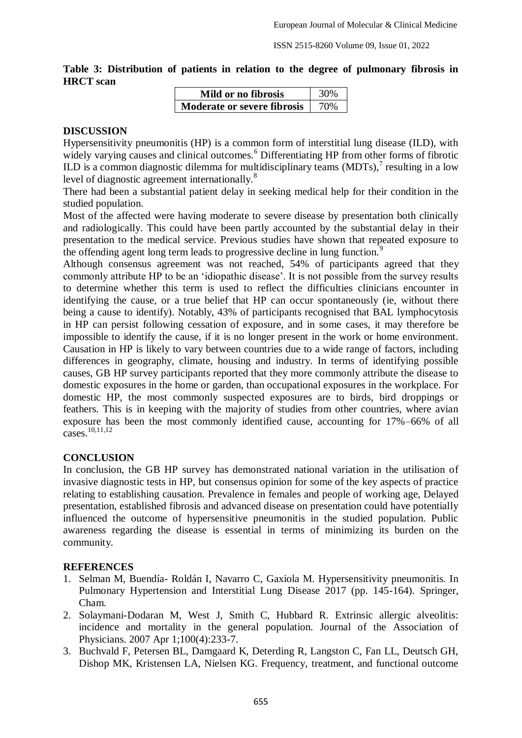**Table 3: Distribution of patients in relation to the degree of pulmonary fibrosis in HRCT scan**

| Mild or no fibrosis                      | 30% |
|------------------------------------------|-----|
| <b>Moderate or severe fibrosis</b>   70% |     |

### **DISCUSSION**

Hypersensitivity pneumonitis (HP) is a common form of interstitial lung disease (ILD), with widely varying causes and clinical outcomes.<sup>6</sup> Differentiating HP from other forms of fibrotic ILD is a common diagnostic dilemma for multidisciplinary teams  $(MDTs)$ ,<sup>7</sup> resulting in a low level of diagnostic agreement internationally.<sup>8</sup>

There had been a substantial patient delay in seeking medical help for their condition in the studied population.

Most of the affected were having moderate to severe disease by presentation both clinically and radiologically. This could have been partly accounted by the substantial delay in their presentation to the medical service. Previous studies have shown that repeated exposure to the offending agent long term leads to progressive decline in lung function.<sup>9</sup>

Although consensus agreement was not reached, 54% of participants agreed that they commonly attribute HP to be an 'idiopathic disease'. It is not possible from the survey results to determine whether this term is used to reflect the difficulties clinicians encounter in identifying the cause, or a true belief that HP can occur spontaneously (ie, without there being a cause to identify). Notably, 43% of participants recognised that BAL lymphocytosis in HP can persist following cessation of exposure, and in some cases, it may therefore be impossible to identify the cause, if it is no longer present in the work or home environment. Causation in HP is likely to vary between countries due to a wide range of factors, including differences in geography, climate, housing and industry. In terms of identifying possible causes, GB HP survey participants reported that they more commonly attribute the disease to domestic exposures in the home or garden, than occupational exposures in the workplace. For domestic HP, the most commonly suspected exposures are to birds, bird droppings or feathers. This is in keeping with the majority of studies from other countries, where avian exposure has been the most commonly identified cause, accounting for 17%–66% of all cases.10,11,12

### **CONCLUSION**

In conclusion, the GB HP survey has demonstrated national variation in the utilisation of invasive diagnostic tests in HP, but consensus opinion for some of the key aspects of practice relating to establishing causation. Prevalence in females and people of working age, Delayed presentation, established fibrosis and advanced disease on presentation could have potentially influenced the outcome of hypersensitive pneumonitis in the studied population. Public awareness regarding the disease is essential in terms of minimizing its burden on the community.

### **REFERENCES**

- 1. Selman M, Buendía- Roldán I, Navarro C, Gaxiola M. Hypersensitivity pneumonitis. In Pulmonary Hypertension and Interstitial Lung Disease 2017 (pp. 145-164). Springer, Cham.
- 2. Solaymani-Dodaran M, West J, Smith C, Hubbard R. Extrinsic allergic alveolitis: incidence and mortality in the general population. Journal of the Association of Physicians. 2007 Apr 1;100(4):233-7.
- 3. Buchvald F, Petersen BL, Damgaard K, Deterding R, Langston C, Fan LL, Deutsch GH, Dishop MK, Kristensen LA, Nielsen KG. Frequency, treatment, and functional outcome